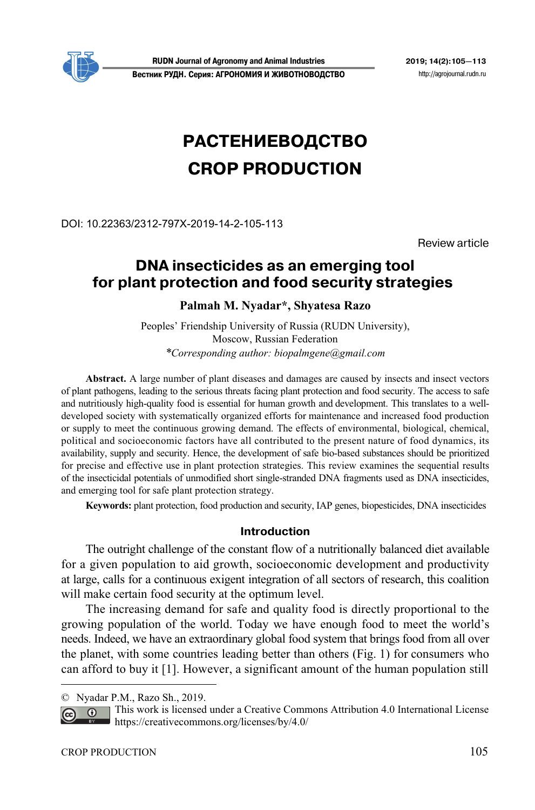

**RUDN Journal of Agronomy and Animal Industries 2019; 14(2):105—113 Вестник РУДН. Серия: АГРОНОМИЯ И ЖИВОТНОВОДСТВО** http://agrojournal.rudn.ru

# **РАСТЕНИЕВОДСТВО CROP PRODUCTION**

DOI: 10.22363/2312-797X-2019-14-2-105-113

Review article

# **DNA insecticides as an emerging tool**  for plant protection and food security strategies

# **Palmah M. Nyadar\*, Shyatesa Razo**

Peoples' Friendship University of Russia (RUDN University), Moscow, Russian Federation *\*Corresponding author: biopalmgene@gmail.com*

**Abstract.** A large number of plant diseases and damages are caused by insects and insect vectors of plant pathogens, leading to the serious threats facing plant protection and food security. The access to safe and nutritiously high-quality food is essential for human growth and development. This translates to a welldeveloped society with systematically organized efforts for maintenance and increased food production or supply to meet the continuous growing demand. The effects of environmental, biological, chemical, political and socioeconomic factors have all contributed to the present nature of food dynamics, its availability, supply and security. Hence, the development of safe bio-based substances should be prioritized for precise and effective use in plant protection strategies. This review examines the sequential results of the insecticidal potentials of unmodified short single-stranded DNA fragments used as DNA insecticides, and emerging tool for safe plant protection strategy.

**Keywords:** plant protection, food production and security, IAP genes, biopesticides, DNA insecticides

### **Introduction**

The outright challenge of the constant flow of a nutritionally balanced diet available for a given population to aid growth, socioeconomic development and productivity at large, calls for a continuous exigent integration of all sectors of research, this coalition will make certain food security at the optimum level.

The increasing demand for safe and quality food is directly proportional to the growing population of the world. Today we have enough food to meet the world's needs. Indeed, we have an extraordinary global food system that brings food from all over the planet, with some countries leading better than others (Fig. 1) for consumers who can afford to buy it [1]. However, a significant amount of the human population still

 $\overline{a}$ 

<sup>©</sup> Nyadar P.M., Razo Sh., 2019.

This work is licensed under a Creative Commons Attribution 4.0 International License  $\overline{0}$ https://creativecommons.org/licenses/by/4.0/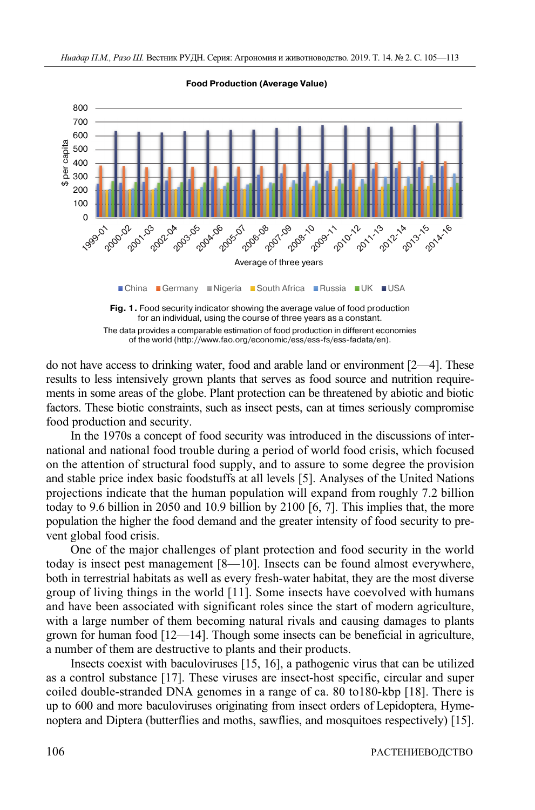

**Food Production (Average Value)**



do not have access to drinking water, food and arable land or environment [2—4]. These results to less intensively grown plants that serves as food source and nutrition requirements in some areas of the globe. Plant protection can be threatened by abiotic and biotic factors. These biotic constraints, such as insect pests, can at times seriously compromise food production and security.

In the 1970s a concept of food security was introduced in the discussions of international and national food trouble during a period of world food crisis, which focused on the attention of structural food supply, and to assure to some degree the provision and stable price index basic foodstuffs at all levels [5]. Analyses of the United Nations projections indicate that the human population will expand from roughly 7.2 billion today to 9.6 billion in 2050 and 10.9 billion by 2100 [6, 7]. This implies that, the more population the higher the food demand and the greater intensity of food security to prevent global food crisis.

One of the major challenges of plant protection and food security in the world today is insect pest management [8—10]. Insects can be found almost everywhere, both in terrestrial habitats as well as every fresh-water habitat, they are the most diverse group of living things in the world [11]. Some insects have coevolved with humans and have been associated with significant roles since the start of modern agriculture, with a large number of them becoming natural rivals and causing damages to plants grown for human food [12—14]. Though some insects can be beneficial in agriculture, a number of them are destructive to plants and their products.

Insects coexist with baculoviruses [15, 16], a pathogenic virus that can be utilized as a control substance [17]. These viruses are insect-host specific, circular and super coiled double-stranded DNA genomes in a range of ca. 80 to180-kbp [18]. There is up to 600 and more baculoviruses originating from insect orders of Lepidoptera, Hymenoptera and Diptera (butterflies and moths, sawflies, and mosquitoes respectively) [15].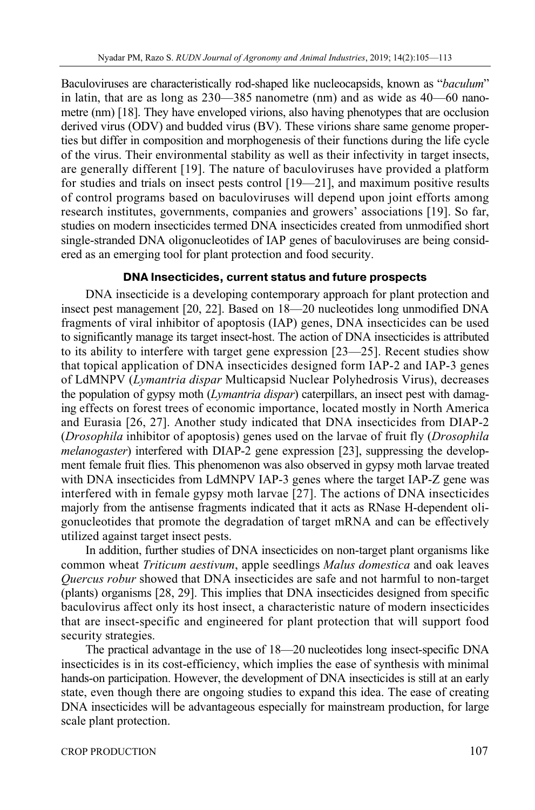Baculoviruses are characteristically rod-shaped like nucleocapsids, known as "*baculum*" in latin, that are as long as 230—385 nanometre (nm) and as wide as 40—60 nanometre (nm) [18]. They have enveloped virions, also having phenotypes that are occlusion derived virus (ODV) and budded virus (BV). These virions share same genome properties but differ in composition and morphogenesis of their functions during the life cycle of the virus. Their environmental stability as well as their infectivity in target insects, are generally different [19]. The nature of baculoviruses have provided a platform for studies and trials on insect pests control [19—21], and maximum positive results of control programs based on baculoviruses will depend upon joint efforts among research institutes, governments, companies and growers' associations [19]. So far, studies on modern insecticides termed DNA insecticides created from unmodified short single-stranded DNA oligonucleotides of IAP genes of baculoviruses are being considered as an emerging tool for plant protection and food security.

## **DNA Insecticides, current status and future prospects**

DNA insecticide is a developing contemporary approach for plant protection and insect pest management [20, 22]. Based on 18—20 nucleotides long unmodified DNA fragments of viral inhibitor of apoptosis (IAP) genes, DNA insecticides can be used to significantly manage its target insect-host. The action of DNA insecticides is attributed to its ability to interfere with target gene expression [23—25]. Recent studies show that topical application of DNA insecticides designed form IAP-2 and IAP-3 genes of LdMNPV (*Lymantria dispar* Multicapsid Nuclear Polyhedrosis Virus), decreases the population of gypsy moth (*Lymantria dispar*) caterpillars, an insect pest with damaging effects on forest trees of economic importance, located mostly in North America and Eurasia [26, 27]. Another study indicated that DNA insecticides from DIAP-2 (*Drosophila* inhibitor of apoptosis) genes used on the larvae of fruit fly (*Drosophila melanogaster*) interfered with DIAP-2 gene expression [23], suppressing the development female fruit flies. This phenomenon was also observed in gypsy moth larvae treated with DNA insecticides from LdMNPV IAP-3 genes where the target IAP-Z gene was interfered with in female gypsy moth larvae [27]. The actions of DNA insecticides majorly from the antisense fragments indicated that it acts as RNase H-dependent oligonucleotides that promote the degradation of target mRNA and can be effectively utilized against target insect pests.

In addition, further studies of DNA insecticides on non-target plant organisms like common wheat *Triticum aestivum*, apple seedlings *Malus domestica* and oak leaves *Quercus robur* showed that DNA insecticides are safe and not harmful to non-target (plants) organisms [28, 29]. This implies that DNA insecticides designed from specific baculovirus affect only its host insect, a characteristic nature of modern insecticides that are insect-specific and engineered for plant protection that will support food security strategies.

The practical advantage in the use of 18—20 nucleotides long insect-specific DNA insecticides is in its cost-efficiency, which implies the ease of synthesis with minimal hands-on participation. However, the development of DNA insecticides is still at an early state, even though there are ongoing studies to expand this idea. The ease of creating DNA insecticides will be advantageous especially for mainstream production, for large scale plant protection.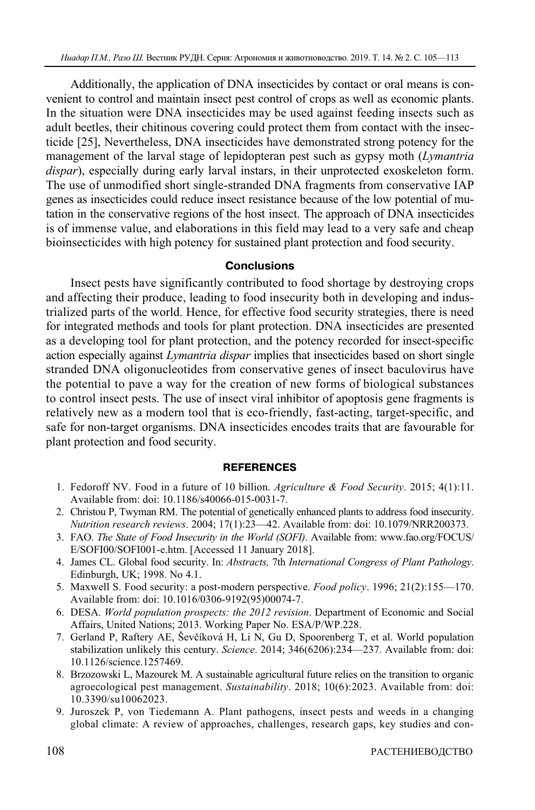Additionally, the application of DNA insecticides by contact or oral means is convenient to control and maintain insect pest control of crops as well as economic plants. In the situation were DNA insecticides may be used against feeding insects such as adult beetles, their chitinous covering could protect them from contact with the insecticide [25], Nevertheless, DNA insecticides have demonstrated strong potency for the management of the larval stage of lepidopteran pest such as gypsy moth (*Lymantria dispar*), especially during early larval instars, in their unprotected exoskeleton form. The use of unmodified short single-stranded DNA fragments from conservative IAP genes as insecticides could reduce insect resistance because of the low potential of mutation in the conservative regions of the host insect. The approach of DNA insecticides is of immense value, and elaborations in this field may lead to a very safe and cheap bioinsecticides with high potency for sustained plant protection and food security.

### **Conclusions**

Insect pests have significantly contributed to food shortage by destroying crops and affecting their produce, leading to food insecurity both in developing and industrialized parts of the world. Hence, for effective food security strategies, there is need for integrated methods and tools for plant protection. DNA insecticides are presented as a developing tool for plant protection, and the potency recorded for insect-specific action especially against *Lymantria dispar* implies that insecticides based on short single stranded DNA oligonucleotides from conservative genes of insect baculovirus have the potential to pave a way for the creation of new forms of biological substances to control insect pests. The use of insect viral inhibitor of apoptosis gene fragments is relatively new as a modern tool that is eco-friendly, fast-acting, target-specific, and safe for non-target organisms. DNA insecticides encodes traits that are favourable for plant protection and food security.

#### **REFERENCES**

- 1. Fedoroff NV. Food in a future of 10 billion. *Agriculture & Food Security*. 2015; 4(1):11. Available from: doi: 10.1186/s40066-015-0031-7.
- 2. Christou P, Twyman RM. The potential of genetically enhanced plants to address food insecurity. *Nutrition research reviews*. 2004; 17(1):23—42. Available from: doi: 10.1079/NRR200373.
- 3. FAO. *The State of Food Insecurity in the World (SOFI)*. Available from: www.fao.org/FOCUS/ E/SOFI00/SOFI001-e.htm. [Accessed 11 January 2018].
- 4. James CL. Global food security. In: *Abstracts,* 7th *International Congress of Plant Pathology*. Edinburgh, UK; 1998. No 4.1.
- 5. Maxwell S. Food security: a post-modern perspective. *Food policy*. 1996; 21(2):155—170. Available from: doi: 10.1016/0306-9192(95)00074-7.
- 6. DESA. *World population prospects: the 2012 revision*. Department of Economic and Social Affairs, United Nations; 2013. Working Paper No. ESA/P/WP.228.
- 7. Gerland P, Raftery AE, Ševčíková H, Li N, Gu D, Spoorenberg T, et al. World population stabilization unlikely this century. *Science*. 2014; 346(6206):234—237. Available from: doi: 10.1126/science.1257469.
- 8. Brzozowski L, Mazourek M. A sustainable agricultural future relies on the transition to organic agroecological pest management. *Sustainability*. 2018; 10(6):2023. Available from: doi: 10.3390/su10062023.
- 9. Juroszek P, von Tiedemann A. Plant pathogens, insect pests and weeds in a changing global climate: A review of approaches, challenges, research gaps, key studies and con-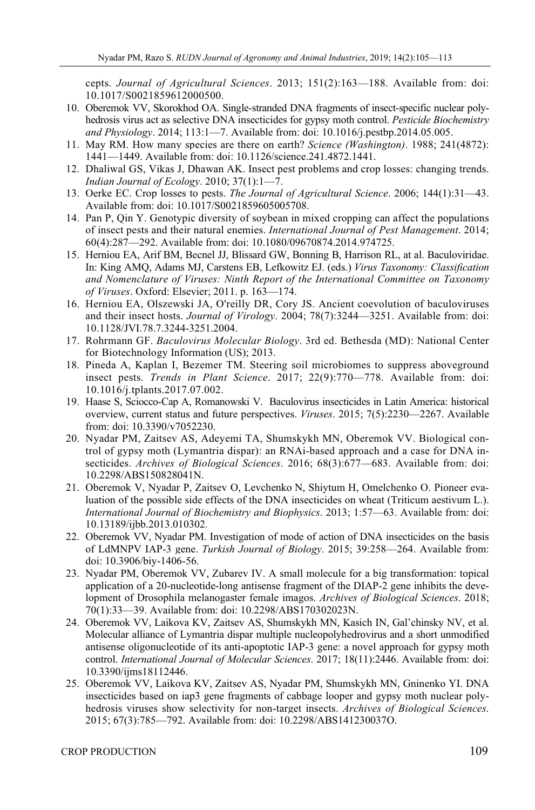cepts. *Journal of Agricultural Sciences*. 2013; 151(2):163—188. Available from: doi: 10.1017/S0021859612000500.

- 10. Oberemok VV, Skorokhod OA. Single-stranded DNA fragments of insect-specific nuclear polyhedrosis virus act as selective DNA insecticides for gypsy moth control. *Pesticide Biochemistry and Physiology*. 2014; 113:1—7. Available from: doi: 10.1016/j.pestbp.2014.05.005.
- 11. May RM. How many species are there on earth? *Science (Washington)*. 1988; 241(4872): 1441—1449. Available from: doi: 10.1126/science.241.4872.1441.
- 12. Dhaliwal GS, Vikas J, Dhawan AK. Insect pest problems and crop losses: changing trends. *Indian Journal of Ecology*. 2010; 37(1):1—7.
- 13. Oerke EC. Crop losses to pests. *The Journal of Agricultural Science*. 2006; 144(1):31—43. Available from: doi: 10.1017/S0021859605005708.
- 14. Pan P, Qin Y. Genotypic diversity of soybean in mixed cropping can affect the populations of insect pests and their natural enemies. *International Journal of Pest Management*. 2014; 60(4):287—292. Available from: doi: 10.1080/09670874.2014.974725.
- 15. Herniou EA, Arif BM, Becnel JJ, Blissard GW, Bonning B, Harrison RL, at al. Baculoviridae. In: King AMQ, Adams MJ, Carstens EB, Lefkowitz EJ. (eds.) *Virus Taxonomy: Classification and Nomenclature of Viruses: Ninth Report of the International Committee on Taxonomy of Viruses*. Oxford: Elsevier; 2011. p. 163—174.
- 16. Herniou EA, Olszewski JA, O'reilly DR, Cory JS. Ancient coevolution of baculoviruses and their insect hosts. *Journal of Virology*. 2004; 78(7):3244—3251. Available from: doi: 10.1128/JVI.78.7.3244-3251.2004.
- 17. Rohrmann GF. *Baculovirus Molecular Biology*. 3rd ed. Bethesda (MD): National Center for Biotechnology Information (US); 2013.
- 18. Pineda A, Kaplan I, Bezemer TM. Steering soil microbiomes to suppress aboveground insect pests. *Trends in Plant Science*. 2017; 22(9):770—778. Available from: doi: 10.1016/j.tplants.2017.07.002.
- 19. Haase S, Sciocco-Cap A, Romanowski V. Baculovirus insecticides in Latin America: historical overview, current status and future perspectives. *Viruses*. 2015; 7(5):2230—2267. Available from: doi: 10.3390/v7052230.
- 20. Nyadar PM, Zaitsev AS, Adeyemi TA, Shumskykh MN, Oberemok VV. Biological control of gypsy moth (Lymantria dispar): an RNAi-based approach and a case for DNA insecticides. *Archives of Biological Sciences*. 2016; 68(3):677—683. Available from: doi: 10.2298/ABS150828041N.
- 21. Oberemok V, Nyadar P, Zaitsev O, Levchenko N, Shiytum H, Omelchenko O. Pioneer evaluation of the possible side effects of the DNA insecticides on wheat (Triticum aestivum L.). *International Journal of Biochemistry and Biophysics*. 2013; 1:57—63. Available from: doi: 10.13189/ijbb.2013.010302.
- 22. Oberemok VV, Nyadar PM. Investigation of mode of action of DNA insecticides on the basis of LdMNPV IAP-3 gene. *Turkish Journal of Biology*. 2015; 39:258—264. Available from: doi: 10.3906/biy-1406-56.
- 23. Nyadar PM, Oberemok VV, Zubarev IV. A small molecule for a big transformation: topical application of a 20-nucleotide-long antisense fragment of the DIAP-2 gene inhibits the development of Drosophila melanogaster female imagos. *Archives of Biological Sciences*. 2018; 70(1):33—39. Available from: doi: 10.2298/ABS170302023N.
- 24. Oberemok VV, Laikova KV, Zaitsev AS, Shumskykh MN, Kasich IN, Gal'chinsky NV, et al. Molecular alliance of Lymantria dispar multiple nucleopolyhedrovirus and a short unmodified antisense oligonucleotide of its anti-apoptotic IAP-3 gene: a novel approach for gypsy moth control. *International Journal of Molecular Sciences*. 2017; 18(11):2446. Available from: doi: 10.3390/ijms18112446.
- 25. Oberemok VV, Laikova KV, Zaitsev AS, Nyadar PM, Shumskykh MN, Gninenko YI. DNA insecticides based on iap3 gene fragments of cabbage looper and gypsy moth nuclear polyhedrosis viruses show selectivity for non-target insects. *Archives of Biological Sciences*. 2015; 67(3):785—792. Available from: doi: 10.2298/ABS141230037O.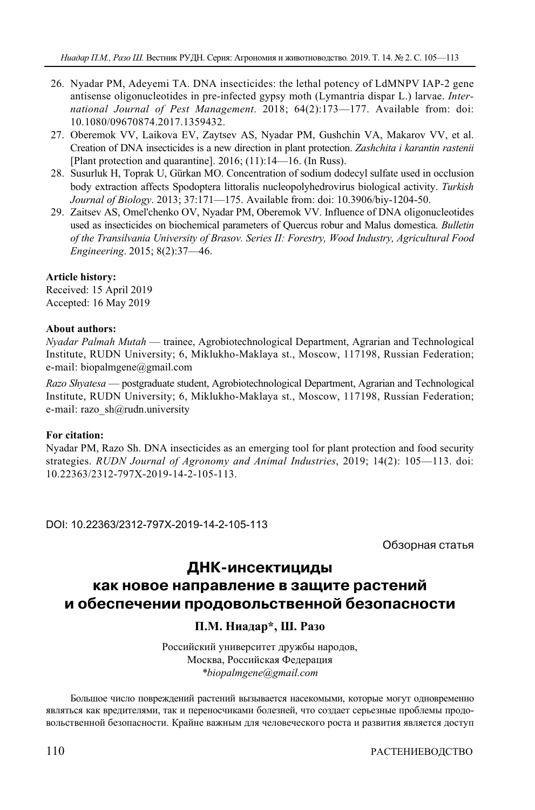- 26. Nyadar PM, Adeyemi TA. DNA insecticides: the lethal potency of LdMNPV IAP-2 gene antisense oligonucleotides in pre-infected gypsy moth (Lymantria dispar L.) larvae. *International Journal of Pest Management*. 2018; 64(2):173—177. Available from: doi: 10.1080/09670874.2017.1359432.
- 27. Oberemok VV, Laikova EV, Zaytsev AS, Nyadar PM, Gushchin VA, Makarov VV, et al. Creation of DNA insecticides is a new direction in plant protection. *Zashchita i karantin rastenii* [Plant protection and quarantine]. 2016; (11):14—16. (In Russ).
- 28. Susurluk H, Toprak U, Gürkan MO. Concentration of sodium dodecyl sulfate used in occlusion body extraction affects Spodoptera littoralis nucleopolyhedrovirus biological activity. *Turkish Journal of Biology*. 2013; 37:171—175. Available from: doi: 10.3906/biy-1204-50.
- 29. Zaitsev AS, Omel'chenko OV, Nyadar PM, Oberemok VV. Influence of DNA oligonucleotides used as insecticides on biochemical parameters of Quercus robur and Malus domestica. *Bulletin of the Transilvania University of Brasov. Series II: Forestry, Wood Industry, Agricultural Food Engineering*. 2015; 8(2):37—46.

#### **Article history:**

Received: 15 April 2019 Accepted: 16 May 2019

#### **About authors:**

*Nyadar Palmah Mutah* — trainee, Agrobiotechnological Department, Agrarian and Technological Institute, RUDN University; 6, Miklukho-Maklaya st., Moscow, 117198, Russian Federation; e-mail: biopalmgene@gmail.com

*Razo Shyatesa* — postgraduate student, Agrobiotechnological Department, Agrarian and Technological Institute, RUDN University; 6, Miklukho-Maklaya st., Moscow, 117198, Russian Federation; e-mail: razo\_sh@rudn.university

#### **For citation:**

Nyadar PM, Razo Sh. DNA insecticides as an emerging tool for plant protection and food security strategies. *RUDN Journal of Agronomy and Animal Industries*, 2019; 14(2): 105—113. doi: 10.22363/2312-797X-2019-14-2-105-113.

DOI: 10.22363/2312-797X-2019-14-2-105-113

Обзорная статья

# **ДНК-инсектициды**

# **как новое направление в защите растений и обеспечении продовольственной безопасности**

# **П.М. Ниадар\*, Ш. Разо**

Российский университет дружбы народов, Москва, Российская Федерация *\*biopalmgene@gmail.com* 

Большое число повреждений растений вызывается насекомыми, которые могут одновременно являться как вредителями, так и переносчиками болезней, что создает серьезные проблемы продовольственной безопасности. Крайне важным для человеческого роста и развития является доступ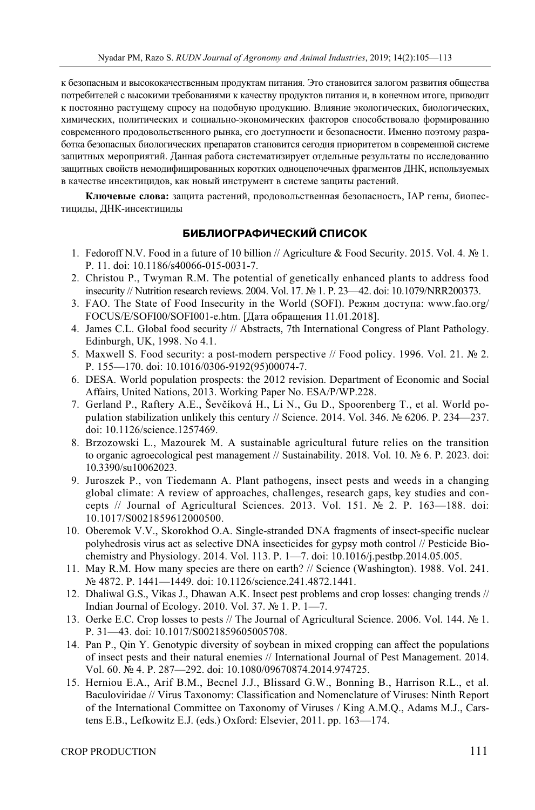к безопасным и высококачественным продуктам питания. Это становится залогом развития общества потребителей с высокими требованиями к качеству продуктов питания и, в конечном итоге, приводит к постоянно растущему спросу на подобную продукцию. Влияние экологических, биологических, химических, политических и социально-экономических факторов способствовало формированию современного продовольственного рынка, его доступности и безопасности. Именно поэтому разработка безопасных биологических препаратов становится сегодня приоритетом в современной системе защитных мероприятий. Данная работа систематизирует отдельные результаты по исследованию защитных свойств немодифицированных коротких одноцепочечных фрагментов ДНК, используемых в качестве инсектицидов, как новый инструмент в системе защиты растений.

**Ключевые слова:** защита растений, продовольственная безопасность, IAP гены, биопестициды, ДНК-инсектициды

### **БИБЛИОГРАФИЧЕСКИЙ СПИСОК**

- 1. Fedoroff N.V. Food in a future of 10 billion // Agriculture & Food Security. 2015. Vol. 4. № 1. P. 11. doi: 10.1186/s40066-015-0031-7.
- 2. Christou P., Twyman R.M. The potential of genetically enhanced plants to address food insecurity // Nutrition research reviews. 2004. Vol. 17. № 1. P. 23—42. doi: 10.1079/NRR200373.
- 3. FAO. The State of Food Insecurity in the World (SOFI). Режим доступа: www.fao.org/ FOCUS/E/SOFI00/SOFI001-e.htm. [Дата обращения 11.01.2018].
- 4. James C.L. Global food security // Abstracts, 7th International Congress of Plant Pathology. Edinburgh, UK, 1998. No 4.1.
- 5. Maxwell S. Food security: a post-modern perspective // Food policy. 1996. Vol. 21. № 2. P. 155—170. doi: 10.1016/0306-9192(95)00074-7.
- 6. DESA. World population prospects: the 2012 revision. Department of Economic and Social Affairs, United Nations, 2013. Working Paper No. ESA/P/WP.228.
- 7. Gerland P., Raftery A.E., Ševčíková H., Li N., Gu D., Spoorenberg T., et al. World population stabilization unlikely this century // Science. 2014. Vol. 346. № 6206. P. 234—237. doi: 10.1126/science.1257469.
- 8. Brzozowski L., Mazourek M. A sustainable agricultural future relies on the transition to organic agroecological pest management // Sustainability. 2018. Vol. 10. № 6. P. 2023. doi: 10.3390/su10062023.
- 9. Juroszek P., von Tiedemann A. Plant pathogens, insect pests and weeds in a changing global climate: A review of approaches, challenges, research gaps, key studies and concepts // Journal of Agricultural Sciences. 2013. Vol. 151. № 2. P. 163—188. doi: 10.1017/S0021859612000500.
- 10. Oberemok V.V., Skorokhod O.A. Single-stranded DNA fragments of insect-specific nuclear polyhedrosis virus act as selective DNA insecticides for gypsy moth control // Pesticide Biochemistry and Physiology. 2014. Vol. 113. P. 1—7. doi: 10.1016/j.pestbp.2014.05.005.
- 11. May R.M. How many species are there on earth? // Science (Washington). 1988. Vol. 241. № 4872. P. 1441—1449. doi: 10.1126/science.241.4872.1441.
- 12. Dhaliwal G.S., Vikas J., Dhawan A.K. Insect pest problems and crop losses: changing trends // Indian Journal of Ecology. 2010. Vol. 37. № 1. P. 1—7.
- 13. Oerke E.C. Crop losses to pests // The Journal of Agricultural Science. 2006. Vol. 144. № 1. P. 31—43. doi: 10.1017/S0021859605005708.
- 14. Pan P., Qin Y. Genotypic diversity of soybean in mixed cropping can affect the populations of insect pests and their natural enemies // International Journal of Pest Management. 2014. Vol. 60. № 4. P. 287—292. doi: 10.1080/09670874.2014.974725.
- 15. Herniou E.A., Arif B.M., Becnel J.J., Blissard G.W., Bonning B., Harrison R.L., et al. Baculoviridae // Virus Taxonomy: Classification and Nomenclature of Viruses: Ninth Report of the International Committee on Taxonomy of Viruses / King A.M.Q., Adams M.J., Carstens E.B., Lefkowitz E.J. (eds.) Oxford: Elsevier, 2011. pp. 163—174.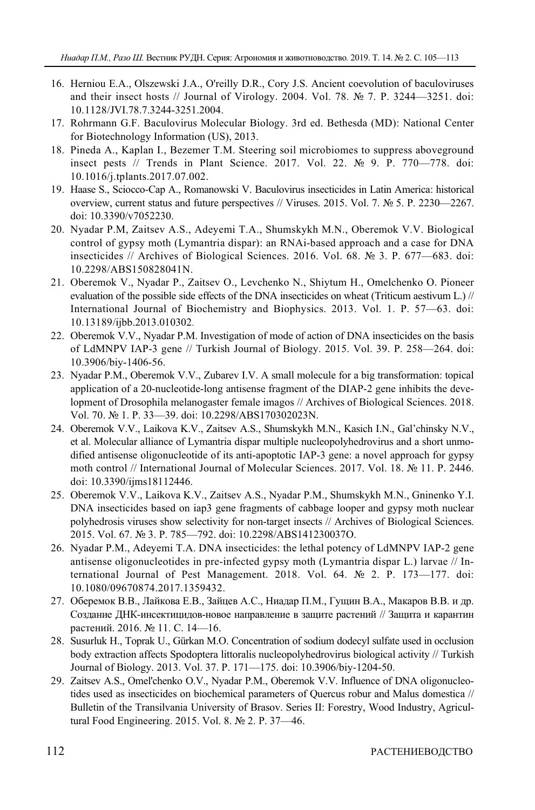- 16. Herniou E.A., Olszewski J.A., O'reilly D.R., Cory J.S. Ancient coevolution of baculoviruses and their insect hosts // Journal of Virology. 2004. Vol. 78.  $\mathbb{N}^{\circ}$  7. P. 3244—3251. doi: 10.1128/JVI.78.7.3244-3251.2004.
- 17. Rohrmann G.F. Baculovirus Molecular Biology. 3rd ed. Bethesda (MD): National Center for Biotechnology Information (US), 2013.
- 18. Pineda A., Kaplan I., Bezemer T.M. Steering soil microbiomes to suppress aboveground insect pests // Trends in Plant Science. 2017. Vol. 22. № 9. P. 770—778. doi: 10.1016/j.tplants.2017.07.002.
- 19. Haase S., Sciocco-Cap A., Romanowski V. Baculovirus insecticides in Latin America: historical overview, current status and future perspectives // Viruses. 2015. Vol. 7. № 5. P. 2230—2267. doi: 10.3390/v7052230.
- 20. Nyadar P.M, Zaitsev A.S., Adeyemi T.A., Shumskykh M.N., Oberemok V.V. Biological control of gypsy moth (Lymantria dispar): an RNAi-based approach and a case for DNA insecticides // Archives of Biological Sciences. 2016. Vol. 68. № 3. P. 677—683. doi: 10.2298/ABS150828041N.
- 21. Oberemok V., Nyadar P., Zaitsev O., Levchenko N., Shiytum H., Omelchenko O. Pioneer evaluation of the possible side effects of the DNA insecticides on wheat (Triticum aestivum L.) // International Journal of Biochemistry and Biophysics. 2013. Vol. 1. P. 57—63. doi: 10.13189/ijbb.2013.010302.
- 22. Oberemok V.V., Nyadar P.M. Investigation of mode of action of DNA insecticides on the basis of LdMNPV IAP-3 gene // Turkish Journal of Biology. 2015. Vol. 39. P. 258—264. doi: 10.3906/biy-1406-56.
- 23. Nyadar P.M., Oberemok V.V., Zubarev I.V. A small molecule for a big transformation: topical application of a 20-nucleotide-long antisense fragment of the DIAP-2 gene inhibits the development of Drosophila melanogaster female imagos // Archives of Biological Sciences. 2018. Vol. 70. № 1. P. 33—39. doi: 10.2298/ABS170302023N.
- 24. Oberemok V.V., Laikova K.V., Zaitsev A.S., Shumskykh M.N., Kasich I.N., Gal'chinsky N.V., et al. Molecular alliance of Lymantria dispar multiple nucleopolyhedrovirus and a short unmodified antisense oligonucleotide of its anti-apoptotic IAP-3 gene: a novel approach for gypsy moth control // International Journal of Molecular Sciences. 2017. Vol. 18. № 11. P. 2446. doi: 10.3390/ijms18112446.
- 25. Oberemok V.V., Laikova K.V., Zaitsev A.S., Nyadar P.M., Shumskykh M.N., Gninenko Y.I. DNA insecticides based on iap3 gene fragments of cabbage looper and gypsy moth nuclear polyhedrosis viruses show selectivity for non-target insects // Archives of Biological Sciences. 2015. Vol. 67. № 3. P. 785—792. doi: 10.2298/ABS141230037O.
- 26. Nyadar P.M., Adeyemi T.A. DNA insecticides: the lethal potency of LdMNPV IAP-2 gene antisense oligonucleotides in pre-infected gypsy moth (Lymantria dispar L.) larvae // International Journal of Pest Management. 2018. Vol. 64. № 2. P. 173—177. doi: 10.1080/09670874.2017.1359432.
- 27. Оберемок В.В., Лайкова Е.В., Зайцев А.С., Ниадар П.М., Гущин В.А., Макаров В.В. и др. Создание ДНК-инсектицидов-новое направление в защите растений // Защита и карантин растений. 2016. № 11. С. 14—16.
- 28. Susurluk H., Toprak U., Gürkan M.O. Concentration of sodium dodecyl sulfate used in occlusion body extraction affects Spodoptera littoralis nucleopolyhedrovirus biological activity // Turkish Journal of Biology. 2013. Vol. 37. P. 171—175. doi: 10.3906/biy-1204-50.
- 29. Zaitsev A.S., Omel'chenko O.V., Nyadar P.M., Oberemok V.V. Influence of DNA oligonucleotides used as insecticides on biochemical parameters of Quercus robur and Malus domestica // Bulletin of the Transilvania University of Brasov. Series II: Forestry, Wood Industry, Agricultural Food Engineering. 2015. Vol. 8. № 2. P. 37—46.